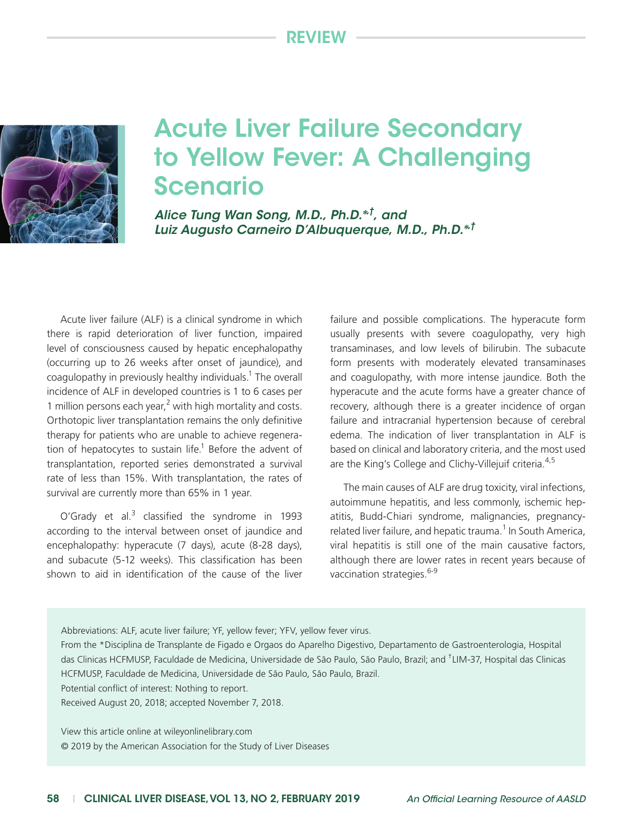## Review



## Acute Liver Failure Secondary to Yellow Fever: A Challenging Scenario

*Alice Tung Wan Song, M.D., Ph.D.\*<sup>†</sup>, and Luiz Augusto Carneiro D'Albuquerque, M.D., Ph.D.\*,†*

Acute liver failure (ALF) is a clinical syndrome in which there is rapid deterioration of liver function, impaired level of consciousness caused by hepatic encephalopathy (occurring up to 26 weeks after onset of jaundice), and coagulopathy in previously healthy individuals.<sup>1</sup> The overall incidence of ALF in developed countries is 1 to 6 cases per 1 million persons each year, $<sup>2</sup>$  with high mortality and costs.</sup> Orthotopic liver transplantation remains the only definitive therapy for patients who are unable to achieve regeneration of hepatocytes to sustain life.<sup>1</sup> Before the advent of transplantation, reported series demonstrated a survival rate of less than 15%. With transplantation, the rates of survival are currently more than 65% in 1 year.

O'Grady et al. $3$  classified the syndrome in 1993 according to the interval between onset of jaundice and encephalopathy: hyperacute (7 days), acute (8-28 days), and subacute (5-12 weeks). This classification has been shown to aid in identification of the cause of the liver

failure and possible complications. The hyperacute form usually presents with severe coagulopathy, very high transaminases, and low levels of bilirubin. The subacute form presents with moderately elevated transaminases and coagulopathy, with more intense jaundice. Both the hyperacute and the acute forms have a greater chance of recovery, although there is a greater incidence of organ failure and intracranial hypertension because of cerebral edema. The indication of liver transplantation in ALF is based on clinical and laboratory criteria, and the most used are the King's College and Clichy-Villejuif criteria.<sup>4,5</sup>

The main causes of ALF are drug toxicity, viral infections, autoimmune hepatitis, and less commonly, ischemic hepatitis, Budd-Chiari syndrome, malignancies, pregnancyrelated liver failure, and hepatic trauma.<sup>1</sup> In South America, viral hepatitis is still one of the main causative factors, although there are lower rates in recent years because of vaccination strategies.<sup>6-9</sup>

Abbreviations: ALF, acute liver failure; YF, yellow fever; YFV, yellow fever virus.

From the \*Disciplina de Transplante de Figado e Orgaos do Aparelho Digestivo, Departamento de Gastroenterologia, Hospital das Clinicas HCFMUSP, Faculdade de Medicina, Universidade de São Paulo, São Paulo, Brazil; and <sup>†</sup>LIM-37, Hospital das Clinicas HCFMUSP, Faculdade de Medicina, Universidade de São Paulo, São Paulo, Brazil.

Potential conflict of interest: Nothing to report.

Received August 20, 2018; accepted November 7, 2018.

View this article online at wileyonlinelibrary.com © 2019 by the American Association for the Study of Liver Diseases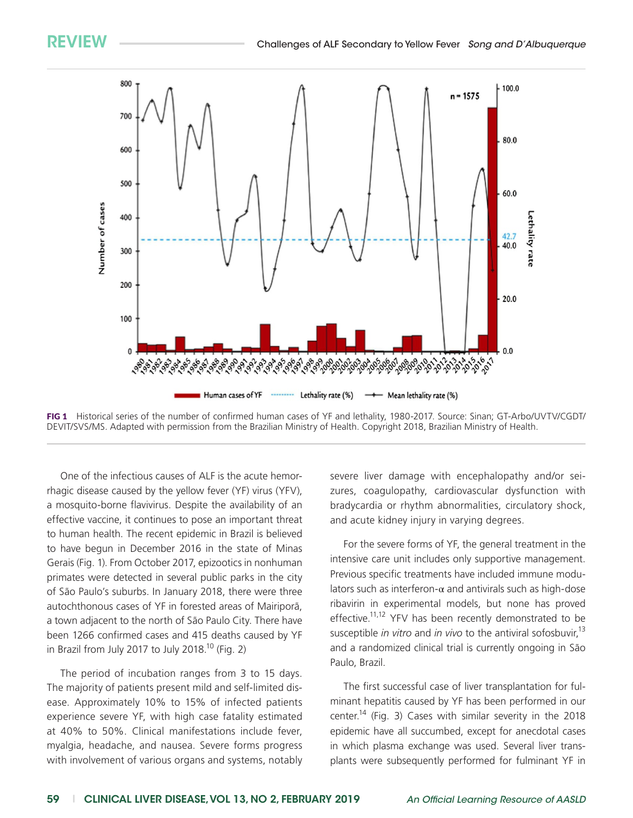

FIG 1 Historical series of the number of confirmed human cases of YF and lethality, 1980-2017. Source: Sinan; GT-Arbo/UVTV/CGDT/ DEVIT/SVS/MS. Adapted with permission from the Brazilian Ministry of Health. Copyright 2018, Brazilian Ministry of Health.

One of the infectious causes of ALF is the acute hemorrhagic disease caused by the yellow fever (YF) virus (YFV), a mosquito-borne flavivirus. Despite the availability of an effective vaccine, it continues to pose an important threat to human health. The recent epidemic in Brazil is believed to have begun in December 2016 in the state of Minas Gerais (Fig. 1). From October 2017, epizootics in nonhuman primates were detected in several public parks in the city of São Paulo's suburbs. In January 2018, there were three autochthonous cases of YF in forested areas of Mairiporã, a town adjacent to the north of São Paulo City. There have been 1266 confirmed cases and 415 deaths caused by YF in Brazil from July 2017 to July 2018.<sup>10</sup> (Fig. 2)

The period of incubation ranges from 3 to 15 days. The majority of patients present mild and self-limited disease. Approximately 10% to 15% of infected patients experience severe YF, with high case fatality estimated at 40% to 50%. Clinical manifestations include fever, myalgia, headache, and nausea. Severe forms progress with involvement of various organs and systems, notably severe liver damage with encephalopathy and/or seizures, coagulopathy, cardiovascular dysfunction with bradycardia or rhythm abnormalities, circulatory shock, and acute kidney injury in varying degrees.

For the severe forms of YF, the general treatment in the intensive care unit includes only supportive management. Previous specific treatments have included immune modulators such as interferon- $\alpha$  and antivirals such as high-dose ribavirin in experimental models, but none has proved effective.<sup>11,12</sup> YFV has been recently demonstrated to be susceptible *in vitro* and *in vivo* to the antiviral sofosbuvir,<sup>13</sup> and a randomized clinical trial is currently ongoing in São Paulo, Brazil.

The first successful case of liver transplantation for fulminant hepatitis caused by YF has been performed in our center.<sup>14</sup> (Fig. 3) Cases with similar severity in the 2018 epidemic have all succumbed, except for anecdotal cases in which plasma exchange was used. Several liver transplants were subsequently performed for fulminant YF in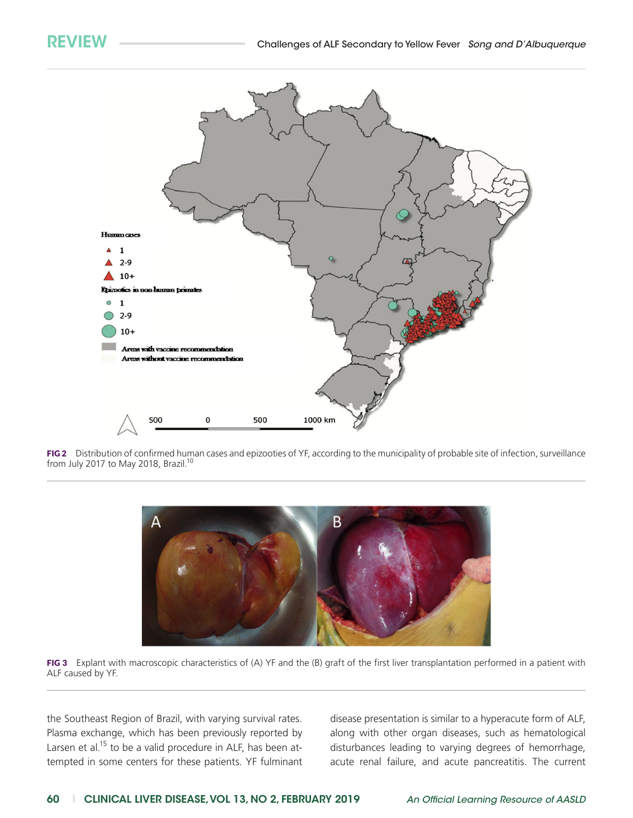

FIG2 Distribution of confirmed human cases and epizooties of YF, according to the municipality of probable site of infection, surveillance from July 2017 to May 2018, Brazil.<sup>10</sup>





the Southeast Region of Brazil, with varying survival rates. Plasma exchange, which has been previously reported by Larsen et al. $15$  to be a valid procedure in ALF, has been attempted in some centers for these patients. YF fulminant disease presentation is similar to a hyperacute form of ALF, along with other organ diseases, such as hematological disturbances leading to varying degrees of hemorrhage, acute renal failure, and acute pancreatitis. The current